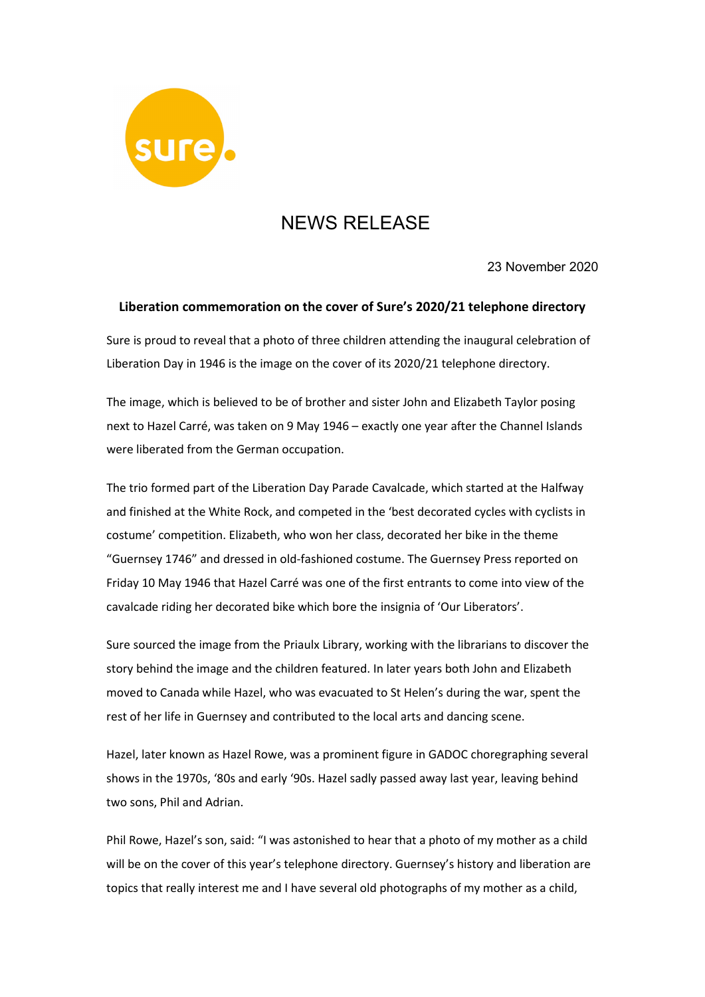

# NEWS RELEASE

23 November 2020

## **Liberation commemoration on the cover of Sure's 2020/21 telephone directory**

Sure is proud to reveal that a photo of three children attending the inaugural celebration of Liberation Day in 1946 is the image on the cover of its 2020/21 telephone directory.

The image, which is believed to be of brother and sister John and Elizabeth Taylor posing next to Hazel Carré, was taken on 9 May 1946 – exactly one year after the Channel Islands were liberated from the German occupation.

The trio formed part of the Liberation Day Parade Cavalcade, which started at the Halfway and finished at the White Rock, and competed in the 'best decorated cycles with cyclists in costume' competition. Elizabeth, who won her class, decorated her bike in the theme "Guernsey 1746" and dressed in old-fashioned costume. The Guernsey Press reported on Friday 10 May 1946 that Hazel Carré was one of the first entrants to come into view of the cavalcade riding her decorated bike which bore the insignia of 'Our Liberators'.

Sure sourced the image from the Priaulx Library, working with the librarians to discover the story behind the image and the children featured. In later years both John and Elizabeth moved to Canada while Hazel, who was evacuated to St Helen's during the war, spent the rest of her life in Guernsey and contributed to the local arts and dancing scene.

Hazel, later known as Hazel Rowe, was a prominent figure in GADOC choregraphing several shows in the 1970s, '80s and early '90s. Hazel sadly passed away last year, leaving behind two sons, Phil and Adrian.

Phil Rowe, Hazel's son, said: "I was astonished to hear that a photo of my mother as a child will be on the cover of this year's telephone directory. Guernsey's history and liberation are topics that really interest me and I have several old photographs of my mother as a child,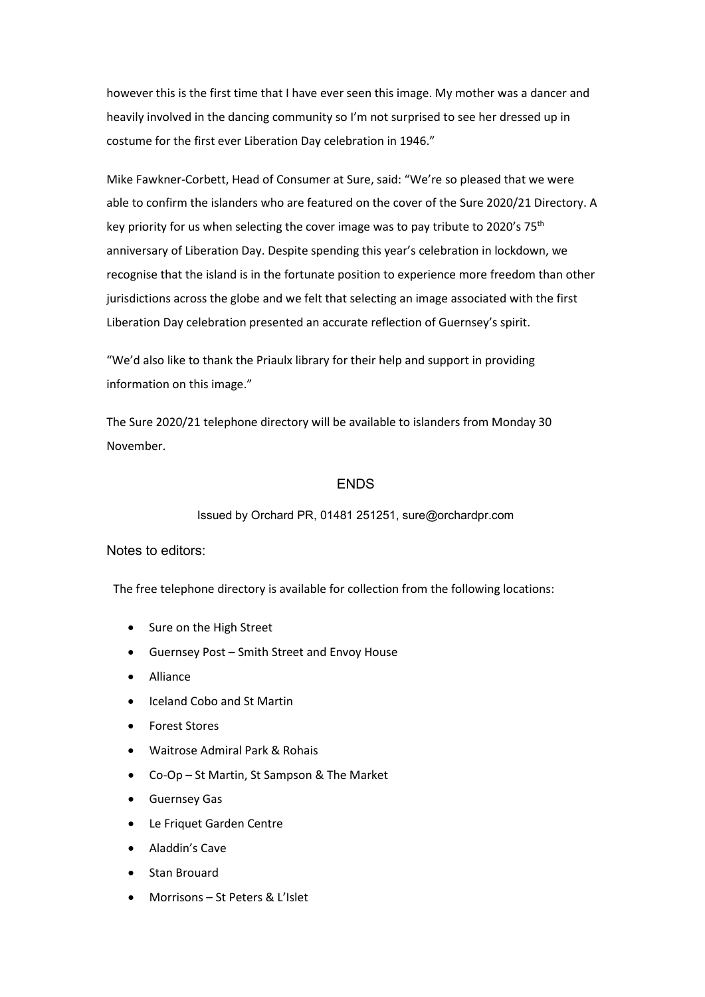however this is the first time that I have ever seen this image. My mother was a dancer and heavily involved in the dancing community so I'm not surprised to see her dressed up in costume for the first ever Liberation Day celebration in 1946."

Mike Fawkner-Corbett, Head of Consumer at Sure, said: "We're so pleased that we were able to confirm the islanders who are featured on the cover of the Sure 2020/21 Directory. A key priority for us when selecting the cover image was to pay tribute to 2020's 75<sup>th</sup> anniversary of Liberation Day. Despite spending this year's celebration in lockdown, we recognise that the island is in the fortunate position to experience more freedom than other jurisdictions across the globe and we felt that selecting an image associated with the first Liberation Day celebration presented an accurate reflection of Guernsey's spirit.

"We'd also like to thank the Priaulx library for their help and support in providing information on this image."

The Sure 2020/21 telephone directory will be available to islanders from Monday 30 November.

# ENDS

#### Issued by Orchard PR, 01481 251251, sure@orchardpr.com

Notes to editors:

The free telephone directory is available for collection from the following locations:

- Sure on the High Street
- Guernsey Post Smith Street and Envoy House
- Alliance
- Iceland Cobo and St Martin
- Forest Stores
- Waitrose Admiral Park & Rohais
- Co-Op St Martin, St Sampson & The Market
- Guernsey Gas
- Le Friquet Garden Centre
- Aladdin's Cave
- Stan Brouard
- Morrisons St Peters & L'Islet